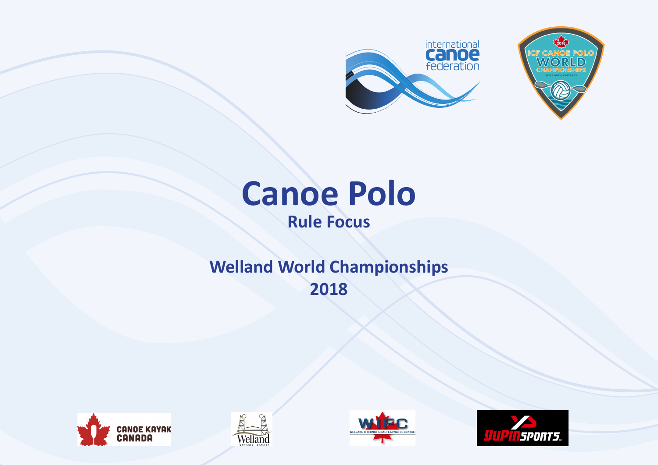



# **Canoe Polo Rule Focus**

# **Welland World Championships 2018**







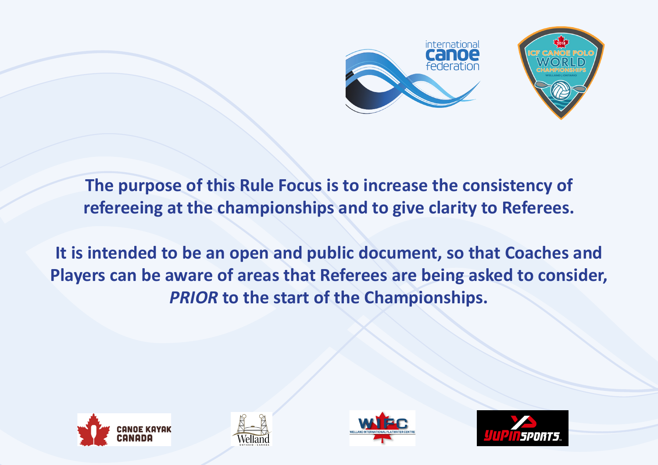

**The purpose of this Rule Focus is to increase the consistency of refereeing at the championships and to give clarity to Referees.**

**It is intended to be an open and public document, so that Coaches and Players can be aware of areas that Referees are being asked to consider,**  *PRIOR* **to the start of the Championships.**







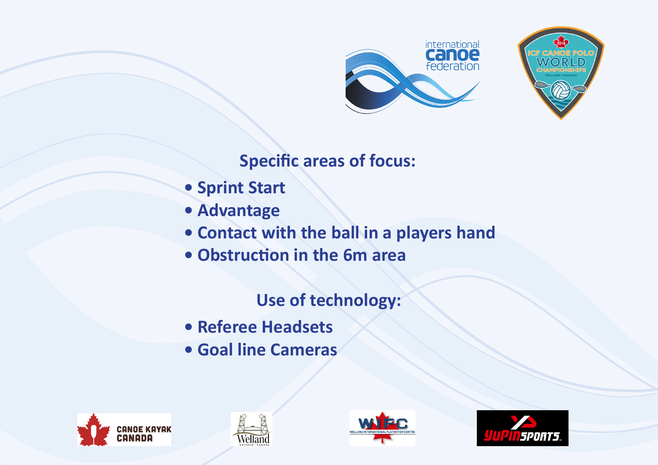



# **Specific areas of focus:**

- **Sprint Start**
- **Advantage**
- **Contact with the ball in a players hand**
- **Obstruction in the 6m area**

## **Use of technology:**

- **Referee Headsets**
- **Goal line Cameras**







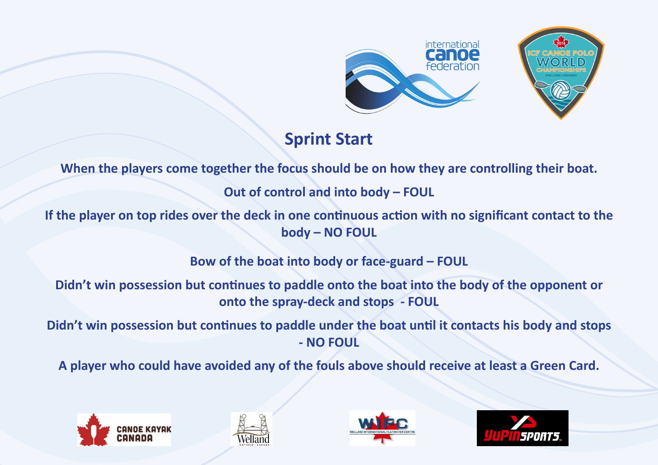



## **Sprint Start**

**When the players come together the focus should be on how they are controlling their boat.**

**Out of control and into body – FOUL**

**If the player on top rides over the deck in one continuous action with no significant contact to the body – NO FOUL**

**Bow of the boat into body or face-guard – FOUL**

**Didn't win possession but continues to paddle onto the boat into the body of the opponent or onto the spray-deck and stops - FOUL**

**Didn't win possession but continues to paddle under the boat until it contacts his body and stops - NO FOUL**

**A player who could have avoided any of the fouls above should receive at least a Green Card.**







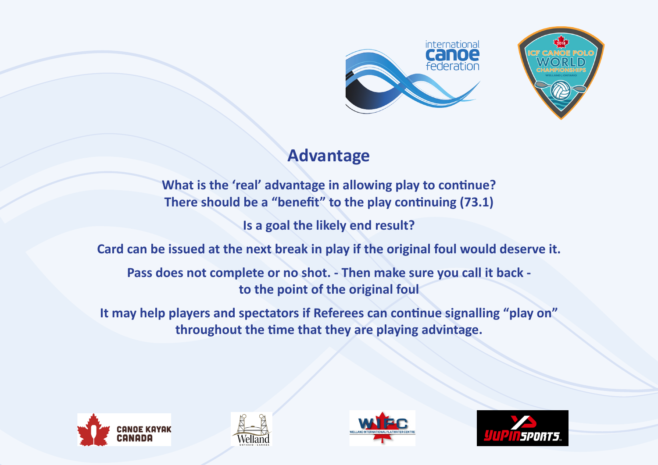



### **Advantage**

**What is the 'real' advantage in allowing play to continue? There should be a "benefit" to the play continuing (73.1)**

**Is a goal the likely end result?**

**Card can be issued at the next break in play if the original foul would deserve it.**

**Pass does not complete or no shot. - Then make sure you call it back to the point of the original foul**

**It may help players and spectators if Referees can continue signalling "play on" throughout the time that they are playing advintage.**







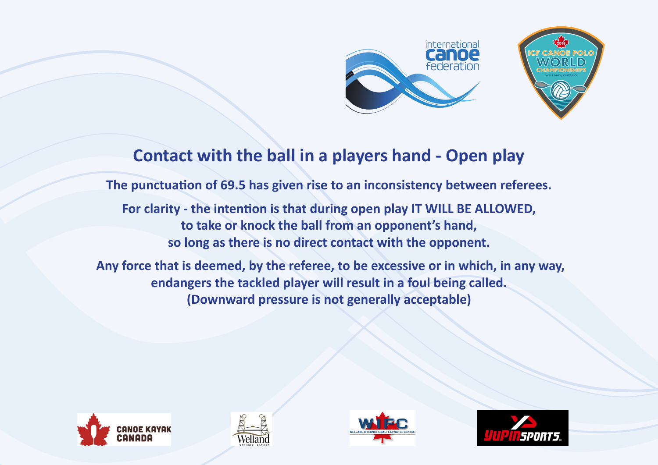



#### **Contact with the ball in a players hand - Open play**

**The punctuation of 69.5 has given rise to an inconsistency between referees.**

**For clarity - the intention is that during open play IT WILL BE ALLOWED, to take or knock the ball from an opponent's hand, so long as there is no direct contact with the opponent.**

 **Any force that is deemed, by the referee, to be excessive or in which, in any way, endangers the tackled player will result in a foul being called. (Downward pressure is not generally acceptable)**







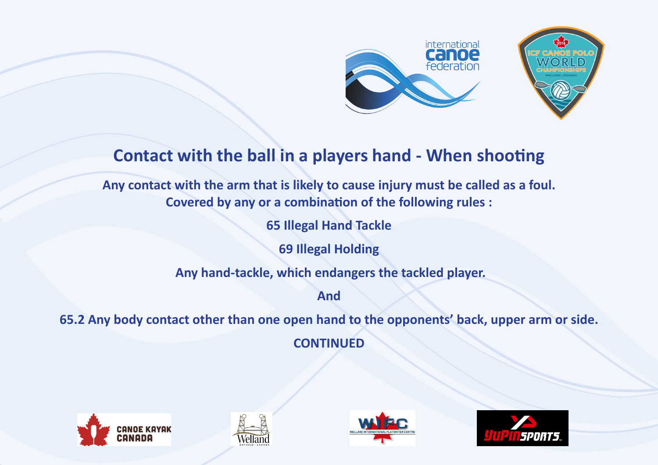



#### **Contact with the ball in a players hand - When shooting**

**Any contact with the arm that is likely to cause injury must be called as a foul. Covered by any or a combination of the following rules :** 

**65 Illegal Hand Tackle**

**69 Illegal Holding**

 **Any hand-tackle, which endangers the tackled player.**

**And**

**65.2 Any body contact other than one open hand to the opponents' back, upper arm or side.**

**CONTINUED**







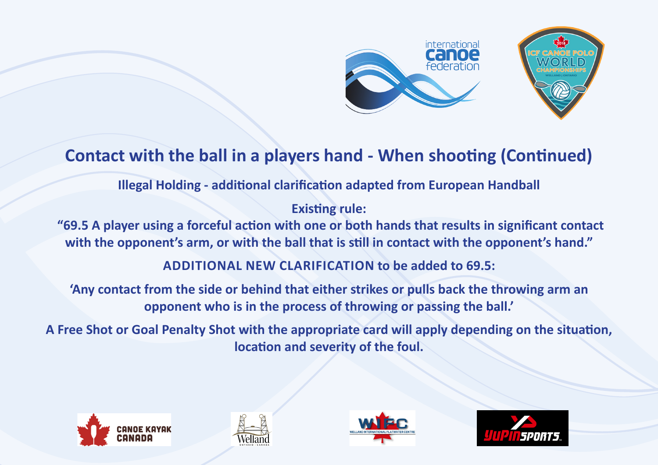



# **Contact with the ball in a players hand - When shooting (Continued)**

**Illegal Holding - additional clarification adapted from European Handball**

**Existing rule:**

 **"69.5 A player using a forceful action with one or both hands that results in significant contact with the opponent's arm, or with the ball that is still in contact with the opponent's hand."**

**ADDITIONAL NEW CLARIFICATION to be added to 69.5:** 

**'Any contact from the side or behind that either strikes or pulls back the throwing arm an opponent who is in the process of throwing or passing the ball.'**

**A Free Shot or Goal Penalty Shot with the appropriate card will apply depending on the situation, location and severity of the foul.**







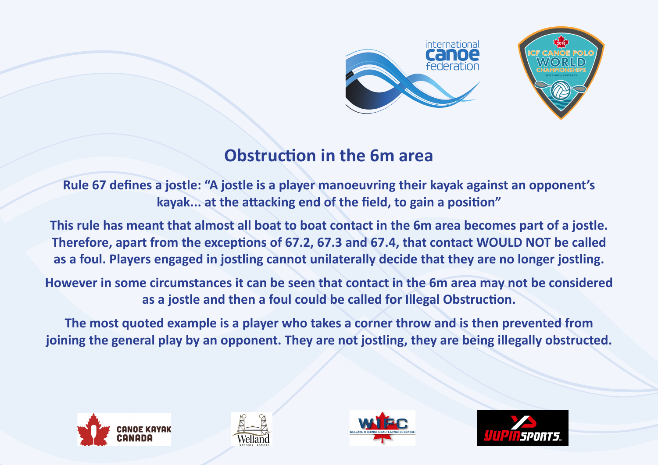



#### **Obstruction in the 6m area**

**Rule 67 defines a jostle: "A jostle is a player manoeuvring their kayak against an opponent's kayak... at the attacking end of the field, to gain a position"**

**This rule has meant that almost all boat to boat contact in the 6m area becomes part of a jostle. Therefore, apart from the exceptions of 67.2, 67.3 and 67.4, that contact WOULD NOT be called as a foul. Players engaged in jostling cannot unilaterally decide that they are no longer jostling.**

**However in some circumstances it can be seen that contact in the 6m area may not be considered as a jostle and then a foul could be called for Illegal Obstruction.**

**The most quoted example is a player who takes a corner throw and is then prevented from joining the general play by an opponent. They are not jostling, they are being illegally obstructed.**